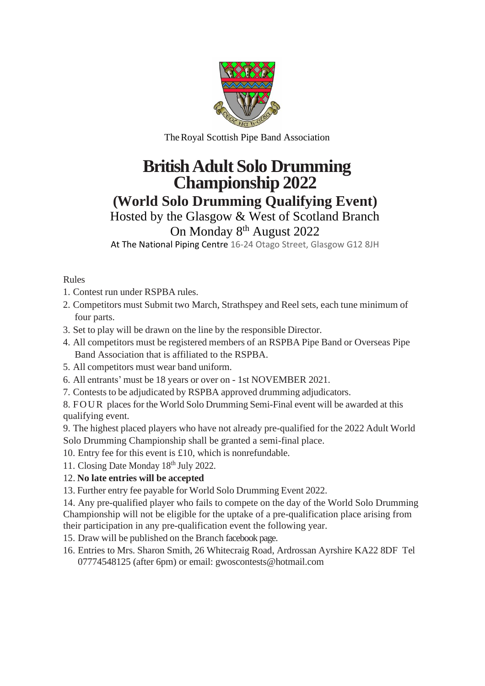

TheRoyal Scottish Pipe Band Association

## **British Adult Solo Drumming Championship 2022**

**(World Solo Drumming Qualifying Event)**

Hosted by the Glasgow & West of Scotland Branch

## On Monday 8<sup>th</sup> August 2022

At The National Piping Centre 16-24 Otago Street, Glasgow G12 8JH

Rules

- 1. Contest run under RSPBA rules.
- 2. Competitors must Submit two March, Strathspey and Reel sets, each tune minimum of four parts.
- 3. Set to play will be drawn on the line by the responsible Director.
- 4. All competitors must be registered members of an RSPBA Pipe Band or Overseas Pipe Band Association that is affiliated to the RSPBA.
- 5. All competitors must wear band uniform.
- 6. All entrants' must be 18 years or over on 1st NOVEMBER 2021.
- 7. Contests to be adjudicated by RSPBA approved drumming adjudicators.

8. FOUR places for the World Solo Drumming Semi-Final event will be awarded at this qualifying event.

9. The highest placed players who have not already pre-qualified for the 2022 Adult World Solo Drumming Championship shall be granted a semi-final place.

10. Entry fee for this event is £10, which is nonrefundable.

11. Closing Date Monday 18<sup>th</sup> July 2022.

## 12. **No late entries will be accepted**

13. Further entry fee payable for World Solo Drumming Event 2022.

14. Any pre-qualified player who fails to compete on the day of the World Solo Drumming Championship will not be eligible for the uptake of a pre-qualification place arising from their participation in any pre-qualification event the following year.

15. Draw will be published on the Branch facebook page.

16. Entries to Mrs. Sharon Smith, 26 Whitecraig Road, Ardrossan Ayrshire KA22 8DF Tel 07774548125 (after 6pm) or email: gwoscontests@hotmail.com